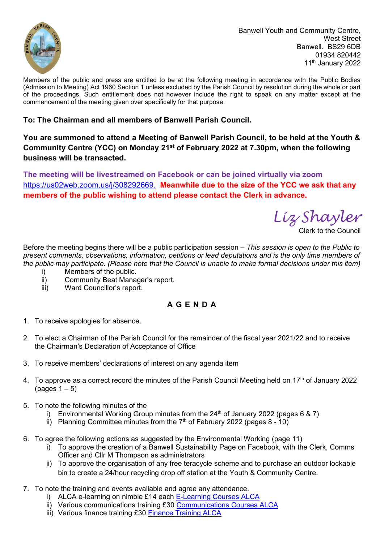

Banwell Youth and Community Centre, West Street Banwell. BS29 6DB 01934 820442 11<sup>th</sup> January 2022

Members of the public and press are entitled to be at the following meeting in accordance with the Public Bodies (Admission to Meeting) Act 1960 Section 1 unless excluded by the Parish Council by resolution during the whole or part of the proceedings. Such entitlement does not however include the right to speak on any matter except at the commencement of the meeting given over specifically for that purpose.

## **To: The Chairman and all members of Banwell Parish Council.**

**You are summoned to attend a Meeting of Banwell Parish Council, to be held at the Youth & Community Centre (YCC) on Monday 21st of February 2022 at 7.30pm, when the following business will be transacted.**

**The meeting will be livestreamed on Facebook or can be joined virtually via zoom**  [https://us02web.zoom.us/j/308292669.](https://us02web.zoom.us/j/308292669) **Meanwhile due to the size of the YCC we ask that any members of the public wishing to attend please contact the Clerk in advance.**

*Liz Shayler*

Clerk to the Council

Before the meeting begins there will be a public participation session *– This session is open to the Public to present comments, observations, information, petitions or lead deputations and is the only time members of the public may participate. (Please note that the Council is unable to make formal decisions under this item)*

- i) Members of the public.
- ii) Community Beat Manager's report.
- iii) Ward Councillor's report.

## **A G E N D A**

- 1. To receive apologies for absence.
- 2. To elect a Chairman of the Parish Council for the remainder of the fiscal year 2021/22 and to receive the Chairman's Declaration of Acceptance of Office
- 3. To receive members' declarations of interest on any agenda item
- 4. To approve as a correct record the minutes of the Parish Council Meeting held on 17<sup>th</sup> of January 2022 (pages  $1-5$ )
- 5. To note the following minutes of the
	- i) Environmental Working Group minutes from the  $24<sup>th</sup>$  of January 2022 (pages 6 & 7)
	- ii) Planning Committee minutes from the  $7<sup>th</sup>$  of February 2022 (pages 8 10)
- 6. To agree the following actions as suggested by the Environmental Working (page 11)
	- i) To approve the creation of a Banwell Sustainability Page on Facebook, with the Clerk, Comms Officer and Cllr M Thompson as administrators
	- ii) To approve the organisation of any free teracycle scheme and to purchase an outdoor lockable bin to create a 24/hour recycling drop off station at the Youth & Community Centre.
- 7. To note the training and events available and agree any attendance.
	- i) ALCA e-learning on nimble £14 each [E-Learning Courses ALCA](https://avonlca.org.uk/events/e-learning-courses)
	- ii) Various communications training £30 [Communications Courses ALCA](https://avonlca.org.uk/events/communication)
	- iii) Various finance training £30 [Finance Training ALCA](https://avonlca.org.uk/events/finance-training)